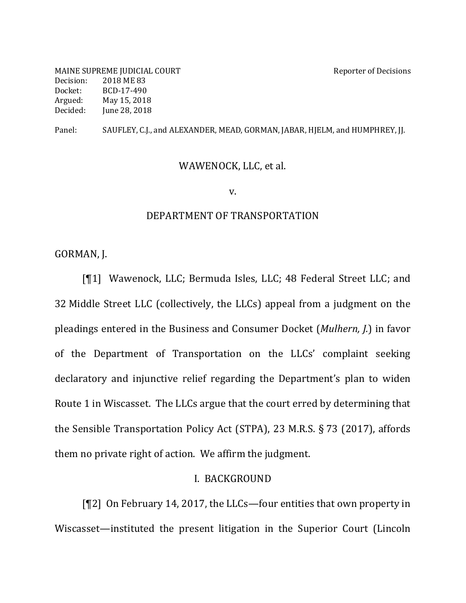MAINE SUPREME JUDICIAL COURT SERVICE AND REPORT AND REPORT OF Decisions Decision: 2018 ME 83 Docket: BCD-17-490 Argued: May 15, 2018 Decided: June 28, 2018

Panel: SAUFLEY, C.J., and ALEXANDER, MEAD, GORMAN, JABAR, HJELM, and HUMPHREY, JJ.

### WAWENOCK, LLC, et al.

v.

#### DEPARTMENT OF TRANSPORTATION

GORMAN, J.

[¶1] Wawenock, LLC; Bermuda Isles, LLC; 48 Federal Street LLC; and 32 Middle Street LLC (collectively, the LLCs) appeal from a judgment on the pleadings entered in the Business and Consumer Docket (*Mulhern, J.*) in favor of the Department of Transportation on the LLCs' complaint seeking declaratory and injunctive relief regarding the Department's plan to widen Route 1 in Wiscasset. The LLCs argue that the court erred by determining that the Sensible Transportation Policy Act (STPA), 23 M.R.S.  $\S$  73 (2017), affords them no private right of action. We affirm the judgment.

### I. BACKGROUND

 $[T2]$  On February 14, 2017, the LLCs—four entities that own property in Wiscasset—instituted the present litigation in the Superior Court (Lincoln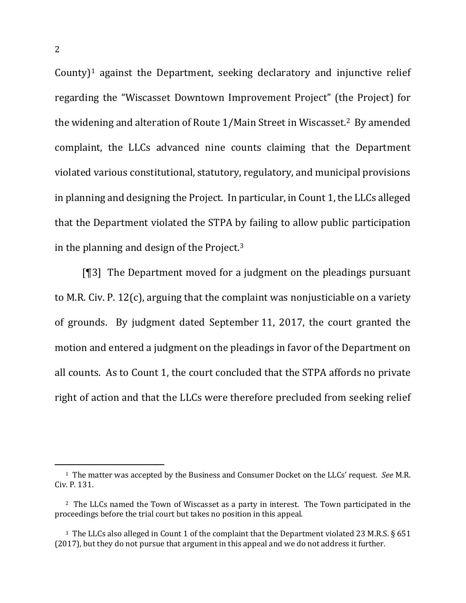County)<sup>1</sup> against the Department, seeking declaratory and injunctive relief regarding the "Wiscasset Downtown Improvement Project" (the Project) for the widening and alteration of Route 1/Main Street in Wiscasset.<sup>2</sup> By amended complaint, the LLCs advanced nine counts claiming that the Department violated various constitutional, statutory, regulatory, and municipal provisions in planning and designing the Project. In particular, in Count 1, the LLCs alleged that the Department violated the STPA by failing to allow public participation in the planning and design of the Project. $3$ 

[ $[$ ]] The Department moved for a judgment on the pleadings pursuant to M.R. Civ. P.  $12(c)$ , arguing that the complaint was nonjusticiable on a variety of grounds. By judgment dated September 11, 2017, the court granted the motion and entered a judgment on the pleadings in favor of the Department on all counts. As to Count 1, the court concluded that the STPA affords no private right of action and that the LLCs were therefore precluded from seeking relief

<sup>&</sup>lt;sup>1</sup> The matter was accepted by the Business and Consumer Docket on the LLCs' request. *See* M.R. Civ. P. 131.

<sup>&</sup>lt;sup>2</sup> The LLCs named the Town of Wiscasset as a party in interest. The Town participated in the proceedings before the trial court but takes no position in this appeal.

<sup>&</sup>lt;sup>3</sup> The LLCs also alleged in Count 1 of the complaint that the Department violated 23 M.R.S. § 651 (2017), but they do not pursue that argument in this appeal and we do not address it further.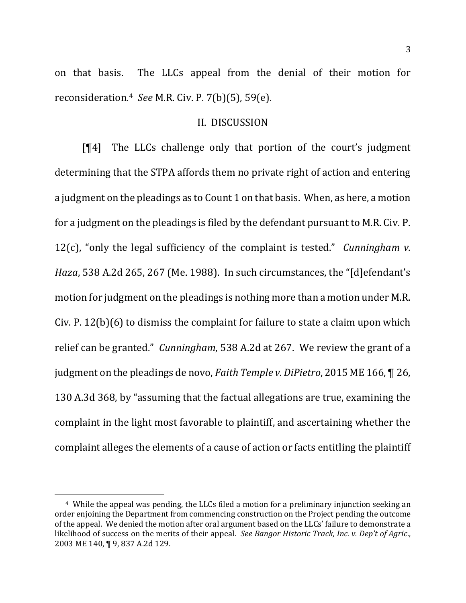on that basis. The LLCs appeal from the denial of their motion for reconsideration. <sup>4</sup> *See* M.R. Civ. P. 7(b)(5), 59(e). 

### II. DISCUSSION

 $[$ [4] The LLCs challenge only that portion of the court's judgment determining that the STPA affords them no private right of action and entering a judgment on the pleadings as to Count 1 on that basis. When, as here, a motion for a judgment on the pleadings is filed by the defendant pursuant to M.R. Civ. P. 12(c), "only the legal sufficiency of the complaint is tested." *Cunningham v. Haza*, 538 A.2d 265, 267 (Me. 1988). In such circumstances, the "[d]efendant's motion for judgment on the pleadings is nothing more than a motion under M.R. Civ. P.  $12(b)(6)$  to dismiss the complaint for failure to state a claim upon which relief can be granted." *Cunningham*, 538 A.2d at 267. We review the grant of a judgment on the pleadings de novo, *Faith Temple v. DiPietro*, 2015 ME 166, **[26,** 130 A.3d 368, by "assuming that the factual allegations are true, examining the complaint in the light most favorable to plaintiff, and ascertaining whether the complaint alleges the elements of a cause of action or facts entitling the plaintiff

<sup>&</sup>lt;sup>4</sup> While the appeal was pending, the LLCs filed a motion for a preliminary injunction seeking an order enjoining the Department from commencing construction on the Project pending the outcome of the appeal. We denied the motion after oral argument based on the LLCs' failure to demonstrate a likelihood of success on the merits of their appeal. See Bangor Historic Track, Inc. v. Dep't of Agric., 2003 ME 140, ¶ 9, 837 A.2d 129.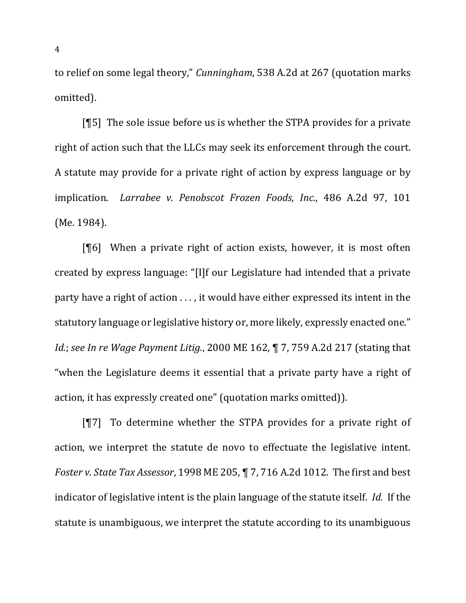to relief on some legal theory," *Cunningham*, 538 A.2d at 267 (quotation marks omitted).

[¶5] The sole issue before us is whether the STPA provides for a private right of action such that the LLCs may seek its enforcement through the court. A statute may provide for a private right of action by express language or by implication. *Larrabee v. Penobscot Frozen Foods, Inc.*, 486 A.2d 97, 101 (Me. 1984).

 $[$ [6] When a private right of action exists, however, it is most often created by express language: "[I]f our Legislature had intended that a private party have a right of action  $\dots$ , it would have either expressed its intent in the statutory language or legislative history or, more likely, expressly enacted one." *Id.*; *see In re Wage Payment Litig.*, 2000 ME 162, ¶ 7, 759 A.2d 217 (stating that "when the Legislature deems it essential that a private party have a right of action, it has expressly created one" (quotation marks omitted)).

 $[T7]$  To determine whether the STPA provides for a private right of action, we interpret the statute de novo to effectuate the legislative intent. *Foster v. State Tax Assessor*, 1998 ME 205, ¶ 7, 716 A.2d 1012. The first and best indicator of legislative intent is the plain language of the statute itself. *Id.* If the statute is unambiguous, we interpret the statute according to its unambiguous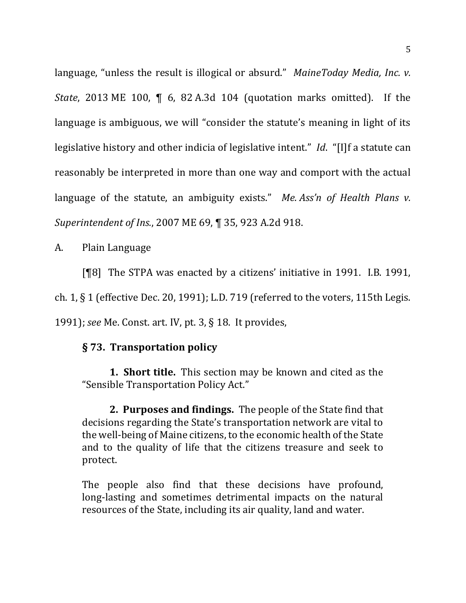language, "unless the result is illogical or absurd." *MaineToday Media, Inc. v. State*, 2013 ME 100, **[6**, 82 A.3d 104 (quotation marks omitted). If the language is ambiguous, we will "consider the statute's meaning in light of its legislative history and other indicia of legislative intent." *Id.* "[I]f a statute can reasonably be interpreted in more than one way and comport with the actual language of the statute, an ambiguity exists." Me. Ass'n of Health Plans v. *Superintendent of Ins.*, 2007 ME 69, ¶ 35, 923 A.2d 918.

A. Plain Language

[¶8] The STPA was enacted by a citizens' initiative in 1991. I.B. 1991,

ch.  $1, \S$  1 (effective Dec. 20, 1991); L.D. 719 (referred to the voters, 115th Legis.

1991); *see* Me. Const. art. IV, pt. 3, § 18. It provides,

# **§ 73. Transportation policy**

**1. Short title.** This section may be known and cited as the "Sensible Transportation Policy Act."

**2. Purposes and findings.** The people of the State find that decisions regarding the State's transportation network are vital to the well-being of Maine citizens, to the economic health of the State and to the quality of life that the citizens treasure and seek to protect. 

The people also find that these decisions have profound, long-lasting and sometimes detrimental impacts on the natural resources of the State, including its air quality, land and water.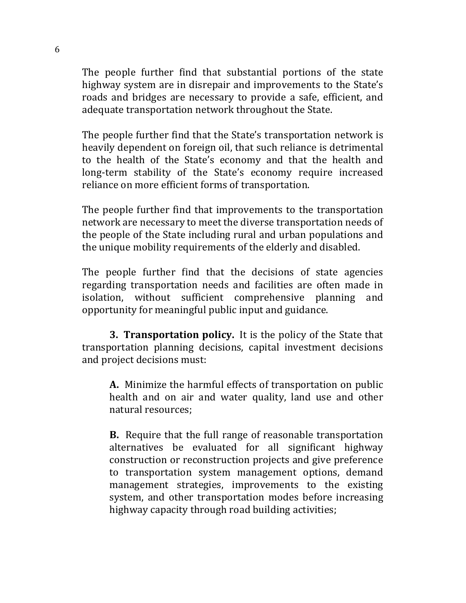The people further find that substantial portions of the state highway system are in disrepair and improvements to the State's roads and bridges are necessary to provide a safe, efficient, and adequate transportation network throughout the State.

The people further find that the State's transportation network is heavily dependent on foreign oil, that such reliance is detrimental to the health of the State's economy and that the health and long-term stability of the State's economy require increased reliance on more efficient forms of transportation.

The people further find that improvements to the transportation network are necessary to meet the diverse transportation needs of the people of the State including rural and urban populations and the unique mobility requirements of the elderly and disabled.

The people further find that the decisions of state agencies regarding transportation needs and facilities are often made in isolation, without sufficient comprehensive planning and opportunity for meaningful public input and guidance.

**3. Transportation policy.** It is the policy of the State that transportation planning decisions, capital investment decisions and project decisions must:

**A.** Minimize the harmful effects of transportation on public health and on air and water quality, land use and other natural resources;

**B.** Require that the full range of reasonable transportation alternatives be evaluated for all significant highway construction or reconstruction projects and give preference to transportation system management options, demand management strategies, improvements to the existing system, and other transportation modes before increasing highway capacity through road building activities: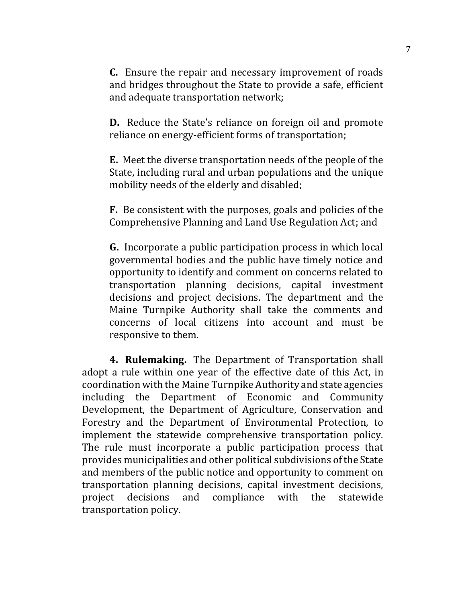**C.** Ensure the repair and necessary improvement of roads and bridges throughout the State to provide a safe, efficient and adequate transportation network;

**D.** Reduce the State's reliance on foreign oil and promote reliance on energy-efficient forms of transportation;

**E.** Meet the diverse transportation needs of the people of the State, including rural and urban populations and the unique mobility needs of the elderly and disabled;

**F.** Be consistent with the purposes, goals and policies of the Comprehensive Planning and Land Use Regulation Act; and

**G.** Incorporate a public participation process in which local governmental bodies and the public have timely notice and opportunity to identify and comment on concerns related to transportation planning decisions, capital investment decisions and project decisions. The department and the Maine Turnpike Authority shall take the comments and concerns of local citizens into account and must be responsive to them.

**4. Rulemaking.** The Department of Transportation shall adopt a rule within one year of the effective date of this Act, in coordination with the Maine Turnpike Authority and state agencies including the Department of Economic and Community Development, the Department of Agriculture, Conservation and Forestry and the Department of Environmental Protection, to implement the statewide comprehensive transportation policy. The rule must incorporate a public participation process that provides municipalities and other political subdivisions of the State and members of the public notice and opportunity to comment on transportation planning decisions, capital investment decisions, project decisions and compliance with the statewide transportation policy.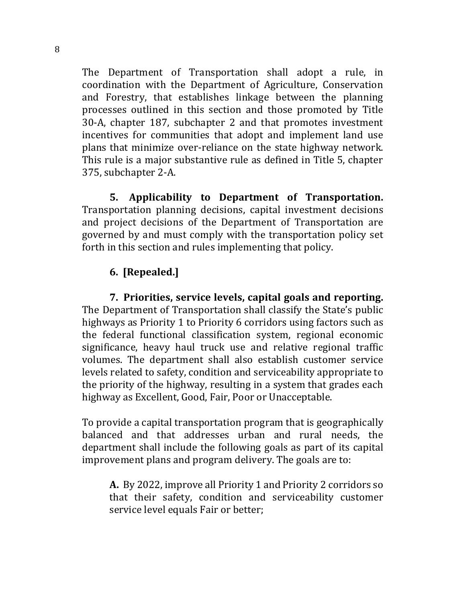The Department of Transportation shall adopt a rule, in coordination with the Department of Agriculture, Conservation and Forestry, that establishes linkage between the planning processes outlined in this section and those promoted by Title 30-A, chapter 187, subchapter 2 and that promotes investment incentives for communities that adopt and implement land use plans that minimize over-reliance on the state highway network. This rule is a major substantive rule as defined in Title 5, chapter 375, subchapter 2-A.

**5.** Applicability to Department of Transportation. Transportation planning decisions, capital investment decisions and project decisions of the Department of Transportation are governed by and must comply with the transportation policy set forth in this section and rules implementing that policy.

# **6. [Repealed.]**

**7.** Priorities, service levels, capital goals and reporting. The Department of Transportation shall classify the State's public highways as Priority 1 to Priority 6 corridors using factors such as the federal functional classification system, regional economic significance, heavy haul truck use and relative regional traffic volumes. The department shall also establish customer service levels related to safety, condition and serviceability appropriate to the priority of the highway, resulting in a system that grades each highway as Excellent, Good, Fair, Poor or Unacceptable.

To provide a capital transportation program that is geographically balanced and that addresses urban and rural needs, the department shall include the following goals as part of its capital improvement plans and program delivery. The goals are to:

**A.** By 2022, improve all Priority 1 and Priority 2 corridors so that their safety, condition and serviceability customer service level equals Fair or better;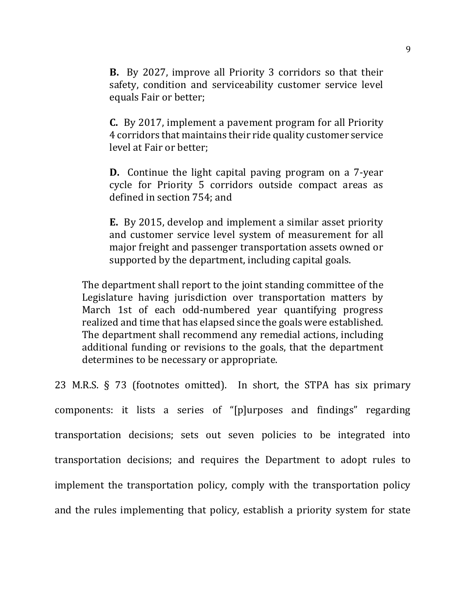**B.** By 2027, improve all Priority 3 corridors so that their safety, condition and serviceability customer service level equals Fair or better;

**C.** By 2017, implement a pavement program for all Priority 4 corridors that maintains their ride quality customer service level at Fair or better:

**D.** Continue the light capital paving program on a 7-year cycle for Priority 5 corridors outside compact areas as defined in section 754; and

**E.** By 2015, develop and implement a similar asset priority and customer service level system of measurement for all major freight and passenger transportation assets owned or supported by the department, including capital goals.

The department shall report to the joint standing committee of the Legislature having jurisdiction over transportation matters by March 1st of each odd-numbered year quantifying progress realized and time that has elapsed since the goals were established. The department shall recommend any remedial actions, including additional funding or revisions to the goals, that the department determines to be necessary or appropriate.

23 M.R.S.  $\S$  73 (footnotes omitted). In short, the STPA has six primary components: it lists a series of "[p]urposes and findings" regarding transportation decisions; sets out seven policies to be integrated into transportation decisions; and requires the Department to adopt rules to implement the transportation policy, comply with the transportation policy and the rules implementing that policy, establish a priority system for state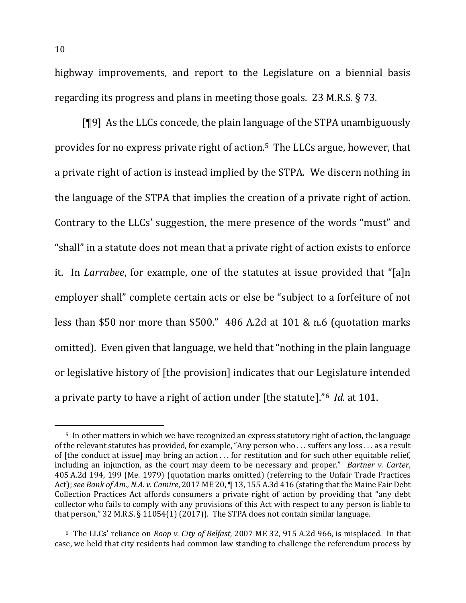highway improvements, and report to the Legislature on a biennial basis regarding its progress and plans in meeting those goals. 23 M.R.S.  $\S$  73.

 $[$ [[9] As the LLCs concede, the plain language of the STPA unambiguously provides for no express private right of action.<sup>5</sup> The LLCs argue, however, that a private right of action is instead implied by the STPA. We discern nothing in the language of the STPA that implies the creation of a private right of action. Contrary to the LLCs' suggestion, the mere presence of the words "must" and "shall" in a statute does not mean that a private right of action exists to enforce it. In *Larrabee*, for example, one of the statutes at issue provided that "[a]n employer shall" complete certain acts or else be "subject to a forfeiture of not less than \$50 nor more than \$500."  $486$  A.2d at 101 & n.6 (quotation marks omitted). Even given that language, we held that "nothing in the plain language or legislative history of [the provision] indicates that our Legislature intended a private party to have a right of action under [the statute]."<sup>6</sup> *Id.* at 101.

<sup>&</sup>lt;sup>5</sup> In other matters in which we have recognized an express statutory right of action, the language of the relevant statutes has provided, for example, "Any person who ... suffers any loss ... as a result of [the conduct at issue] may bring an action  $\dots$  for restitution and for such other equitable relief, including an injunction, as the court may deem to be necessary and proper." *Bartner v. Carter*, 405 A.2d 194, 199 (Me. 1979) (quotation marks omitted) (referring to the Unfair Trade Practices Act); see Bank of Am., N.A. v. Camire, 2017 ME 20, ¶ 13, 155 A.3d 416 (stating that the Maine Fair Debt Collection Practices Act affords consumers a private right of action by providing that "any debt collector who fails to comply with any provisions of this Act with respect to any person is liable to that person,"  $32$  M.R.S. § 11054(1) (2017)). The STPA does not contain similar language.

<sup>&</sup>lt;sup>6</sup> The LLCs' reliance on *Roop v. City of Belfast*, 2007 ME 32, 915 A.2d 966, is misplaced. In that case, we held that city residents had common law standing to challenge the referendum process by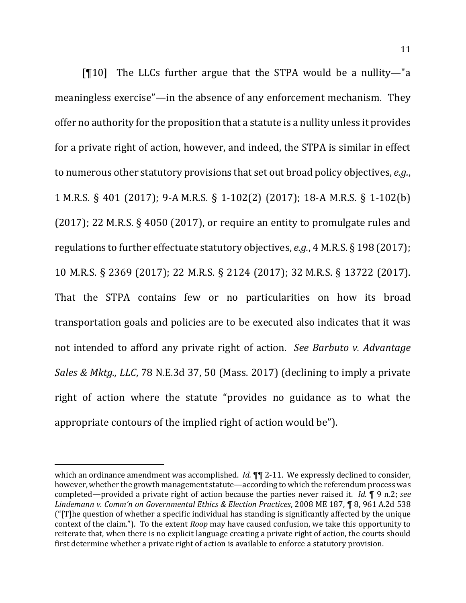$[$ [10] The LLCs further argue that the STPA would be a nullity—"a meaningless exercise"—in the absence of any enforcement mechanism. They offer no authority for the proposition that a statute is a nullity unless it provides for a private right of action, however, and indeed, the STPA is similar in effect to numerous other statutory provisions that set out broad policy objectives, *e.g.*, 1 M.R.S. § 401 (2017); 9-A M.R.S. § 1-102(2) (2017); 18-A M.R.S. § 1-102(b) (2017); 22 M.R.S.  $\S$  4050 (2017), or require an entity to promulgate rules and regulations to further effectuate statutory objectives, *e.g.*, 4 M.R.S. § 198 (2017); 10 M.R.S. § 2369 (2017); 22 M.R.S. § 2124 (2017); 32 M.R.S. § 13722 (2017). That the STPA contains few or no particularities on how its broad transportation goals and policies are to be executed also indicates that it was not intended to afford any private right of action. See Barbuto *v. Advantage Sales & Mktg., LLC,* 78 N.E.3d 37, 50 (Mass. 2017) (declining to imply a private right of action where the statute "provides no guidance as to what the appropriate contours of the implied right of action would be").

which an ordinance amendment was accomplished. *Id.*  $\P\P$  2-11. We expressly declined to consider, however, whether the growth management statute—according to which the referendum process was completed—provided a private right of action because the parties never raised it. *Id.* **[9** n.2; *see Lindemann v. Comm'n on Governmental Ethics & Election Practices*, 2008 ME 187, ¶ 8, 961 A.2d 538 (" $|T|$ he question of whether a specific individual has standing is significantly affected by the unique context of the claim."). To the extent *Roop* may have caused confusion, we take this opportunity to reiterate that, when there is no explicit language creating a private right of action, the courts should first determine whether a private right of action is available to enforce a statutory provision.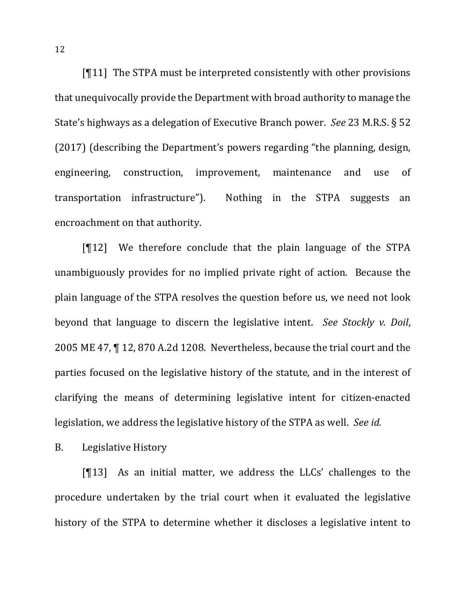$[11]$  The STPA must be interpreted consistently with other provisions that unequivocally provide the Department with broad authority to manage the State's highways as a delegation of Executive Branch power. *See* 23 M.R.S. § 52 (2017) (describing the Department's powers regarding "the planning, design, engineering, construction, improvement, maintenance and use of transportation infrastructure"). Nothing in the STPA suggests an encroachment on that authority.

 $[12]$  We therefore conclude that the plain language of the STPA unambiguously provides for no implied private right of action. Because the plain language of the STPA resolves the question before us, we need not look beyond that language to discern the legislative intent. See Stockly v. Doil, 2005 ME 47,  $\P$  12, 870 A.2d 1208. Nevertheless, because the trial court and the parties focused on the legislative history of the statute, and in the interest of clarifying the means of determining legislative intent for citizen-enacted legislation, we address the legislative history of the STPA as well. See id.

B. Legislative History

 $[13]$  As an initial matter, we address the LLCs' challenges to the procedure undertaken by the trial court when it evaluated the legislative history of the STPA to determine whether it discloses a legislative intent to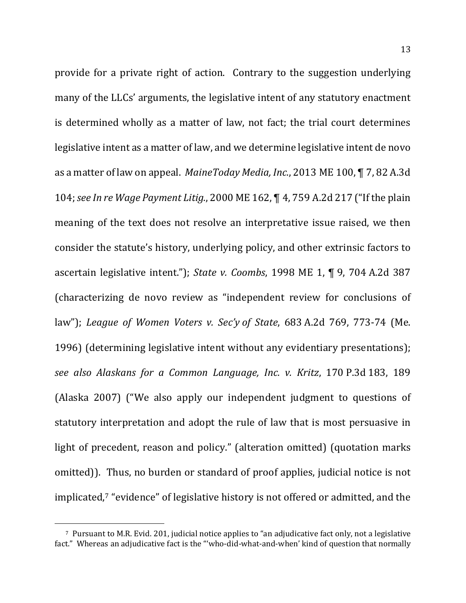provide for a private right of action. Contrary to the suggestion underlying many of the LLCs' arguments, the legislative intent of any statutory enactment is determined wholly as a matter of law, not fact; the trial court determines legislative intent as a matter of law, and we determine legislative intent de novo as a matter of law on appeal. *MaineToday Media, Inc.*, 2013 ME 100, 1 7, 82 A.3d 104; see In re Wage Payment Litig., 2000 ME 162, ¶ 4, 759 A.2d 217 ("If the plain meaning of the text does not resolve an interpretative issue raised, we then consider the statute's history, underlying policy, and other extrinsic factors to ascertain legislative intent."); *State v. Coombs*, 1998 ME 1, ¶ 9, 704 A.2d 387 (characterizing de novo review as "independent review for conclusions of law"); *League of Women Voters v. Sec'y of State*, 683 A.2d 769, 773-74 (Me.) 1996) (determining legislative intent without any evidentiary presentations); *see also Alaskans for a Common Language, Inc. v. Kritz*, 170 P.3d 183, 189 (Alaska 2007) ("We also apply our independent judgment to questions of statutory interpretation and adopt the rule of law that is most persuasive in light of precedent, reason and policy." (alteration omitted) (quotation marks omitted)). Thus, no burden or standard of proof applies, judicial notice is not implicated,<sup>7</sup> "evidence" of legislative history is not offered or admitted, and the

<sup>&</sup>lt;sup>7</sup> Pursuant to M.R. Evid. 201, judicial notice applies to "an adjudicative fact only, not a legislative fact." Whereas an adjudicative fact is the "'who-did-what-and-when' kind of question that normally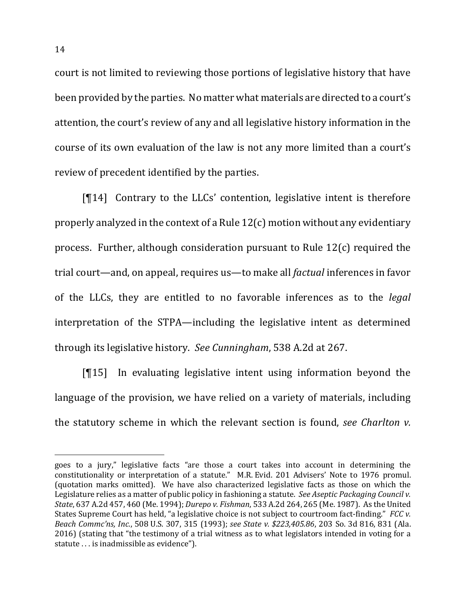court is not limited to reviewing those portions of legislative history that have been provided by the parties. No matter what materials are directed to a court's attention, the court's review of any and all legislative history information in the course of its own evaluation of the law is not any more limited than a court's review of precedent identified by the parties.

 $[\mathcal{T}14]$  Contrary to the LLCs' contention, legislative intent is therefore properly analyzed in the context of a Rule  $12(c)$  motion without any evidentiary process. Further, although consideration pursuant to Rule  $12(c)$  required the trial court—and, on appeal, requires us—to make all *factual* inferences in favor of the LLCs, they are entitled to no favorable inferences as to the *legal* interpretation of the STPA—including the legislative intent as determined through its legislative history. See Cunningham, 538 A.2d at 267.

 $[\![15]\!]$  In evaluating legislative intent using information beyond the language of the provision, we have relied on a variety of materials, including the statutory scheme in which the relevant section is found, *see Charlton v.* 

goes to a jury," legislative facts "are those a court takes into account in determining the constitutionality or interpretation of a statute." M.R. Evid. 201 Advisers' Note to 1976 promul. (quotation marks omitted). We have also characterized legislative facts as those on which the Legislature relies as a matter of public policy in fashioning a statute. See Aseptic Packaging Council v. *State*, 637 A.2d 457, 460 (Me. 1994); *Durepo v. Fishman*, 533 A.2d 264, 265 (Me. 1987). As the United States Supreme Court has held, "a legislative choice is not subject to courtroom fact-finding." *FCC* v. *Beach Commc'ns, Inc.*, 508 U.S. 307, 315 (1993); *see State v. \$223,405.86*, 203 So. 3d 816, 831 (Ala. 2016) (stating that "the testimony of a trial witness as to what legislators intended in voting for a statute . . . is inadmissible as evidence").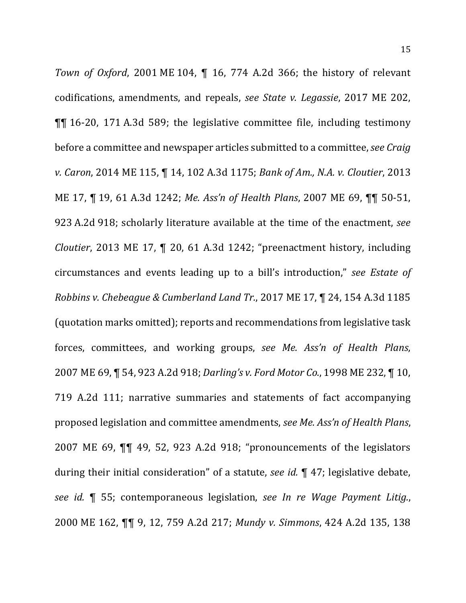*Town of Oxford*, 2001 ME 104,  $\P$  16, 774 A.2d 366; the history of relevant codifications, amendments, and repeals, *see State v. Legassie*, 2017 ME 202,  $\P$ [ $\parallel$  16-20, 171 A.3d 589; the legislative committee file, including testimony before a committee and newspaper articles submitted to a committee, *see Craig v. Caron,* 2014 ME 115,  $\P$  14, 102 A.3d 1175; *Bank of Am., N.A. v. Cloutier*, 2013 ME 17, ¶ 19, 61 A.3d 1242; *Me. Ass'n of Health Plans*, 2007 ME 69, ¶¶ 50-51, 923 A.2d 918; scholarly literature available at the time of the enactment, see *Cloutier*, 2013 ME 17, ¶ 20, 61 A.3d 1242; "preenactment history, including circumstances and events leading up to a bill's introduction," *see Estate of Robbins v. Chebeague & Cumberland Land Tr.*, 2017 ME 17, ¶ 24, 154 A.3d 1185 (quotation marks omitted); reports and recommendations from legislative task forces, committees, and working groups, see Me. Ass'n of Health Plans, 2007 ME 69, ¶ 54, 923 A.2d 918; *Darling's v. Ford Motor Co.*, 1998 ME 232, ¶ 10, 719 A.2d 111; narrative summaries and statements of fact accompanying proposed legislation and committee amendments, *see Me. Ass'n of Health Plans*, 2007 ME 69,  $\P\P$  49, 52, 923 A.2d 918; "pronouncements of the legislators during their initial consideration" of a statute, *see id.* ¶ 47; legislative debate, *see id.* **[4** 55; contemporaneous legislation, see In re Wage Payment Litig., 2000 ME 162, ¶¶ 9, 12, 759 A.2d 217; *Mundy v. Simmons*, 424 A.2d 135, 138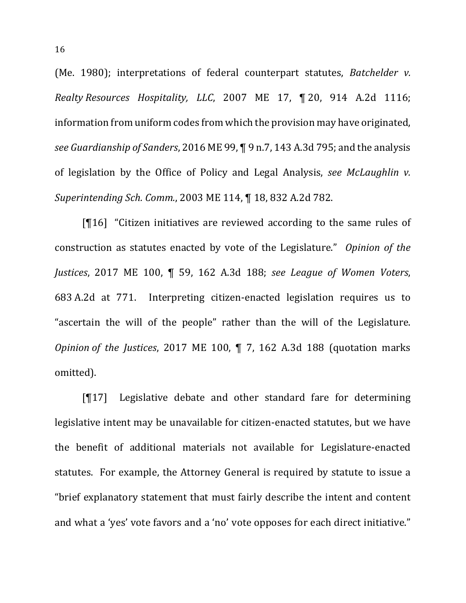(Me. 1980); interpretations of federal counterpart statutes, *Batchelder v. Realty Resources Hospitality, LLC*, 2007 ME 17, ¶ 20, 914 A.2d 1116; information from uniform codes from which the provision may have originated, *see Guardianship of Sanders,* 2016 ME 99, ¶ 9 n.7, 143 A.3d 795; and the analysis of legislation by the Office of Policy and Legal Analysis, see McLaughlin v. *Superintending Sch. Comm.*, 2003 ME 114, ¶ 18, 832 A.2d 782.

 $[$ [16] "Citizen initiatives are reviewed according to the same rules of construction as statutes enacted by vote of the Legislature." *Opinion of the Justices*, 2017 ME 100, ¶ 59, 162 A.3d 188; *see League of Women Voters*, 683 A.2d at 771. Interpreting citizen-enacted legislation requires us to "ascertain the will of the people" rather than the will of the Legislature. *Opinion* of the Justices, 2017 ME 100,  $\parallel$  7, 162 A.3d 188 (quotation marks omitted).

 $[T17]$  Legislative debate and other standard fare for determining legislative intent may be unavailable for citizen-enacted statutes, but we have the benefit of additional materials not available for Legislature-enacted statutes. For example, the Attorney General is required by statute to issue a "brief explanatory statement that must fairly describe the intent and content and what a 'yes' vote favors and a 'no' vote opposes for each direct initiative."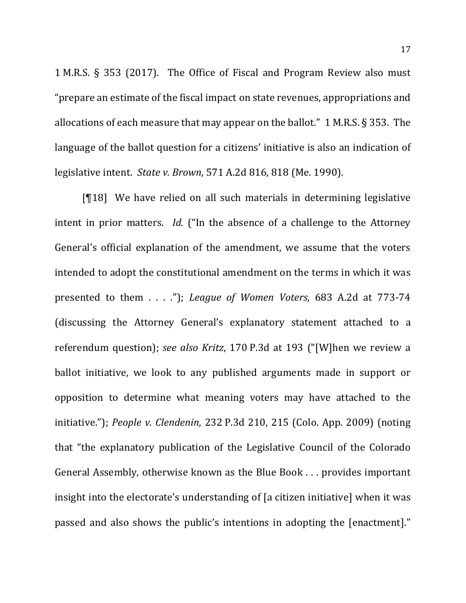1 M.R.S.  $\S$  353 (2017). The Office of Fiscal and Program Review also must "prepare an estimate of the fiscal impact on state revenues, appropriations and allocations of each measure that may appear on the ballot." 1 M.R.S.  $\S$  353. The language of the ballot question for a citizens' initiative is also an indication of legislative intent. *State v. Brown*, 571 A.2d 816, 818 (Me. 1990).

 $[18]$  We have relied on all such materials in determining legislative intent in prior matters. *Id.* ("In the absence of a challenge to the Attorney General's official explanation of the amendment, we assume that the voters intended to adopt the constitutional amendment on the terms in which it was presented to them . . . ."); *League of Women Voters*, 683 A.2d at 773-74 (discussing the Attorney General's explanatory statement attached to a referendum question); see also Kritz, 170 P.3d at 193 ("[W]hen we review a ballot initiative, we look to any published arguments made in support or opposition to determine what meaning voters may have attached to the initiative."); *People v. Clendenin*, 232 P.3d 210, 215 (Colo. App. 2009) (noting that "the explanatory publication of the Legislative Council of the Colorado General Assembly, otherwise known as the Blue Book ... provides important insight into the electorate's understanding of [a citizen initiative] when it was passed and also shows the public's intentions in adopting the [enactment]."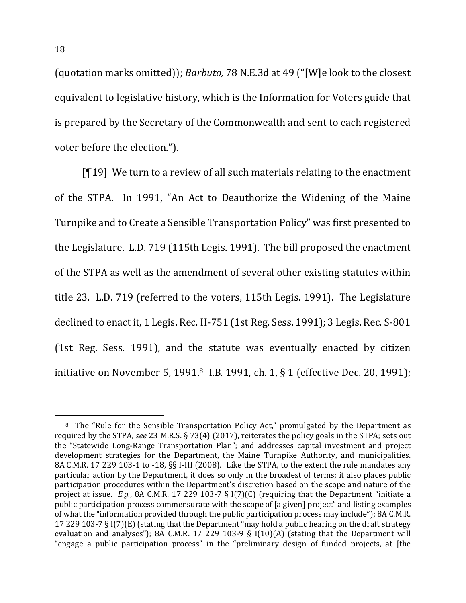(quotation marks omitted)); *Barbuto*, 78 N.E.3d at 49 ("[W]e look to the closest equivalent to legislative history, which is the Information for Voters guide that is prepared by the Secretary of the Commonwealth and sent to each registered voter before the election.").

 $[T19]$  We turn to a review of all such materials relating to the enactment of the STPA. In 1991, "An Act to Deauthorize the Widening of the Maine Turnpike and to Create a Sensible Transportation Policy" was first presented to the Legislature. L.D. 719 (115th Legis. 1991). The bill proposed the enactment of the STPA as well as the amendment of several other existing statutes within title 23. L.D. 719 (referred to the voters, 115th Legis. 1991). The Legislature declined to enact it, 1 Legis. Rec. H-751 (1st Reg. Sess. 1991); 3 Legis. Rec. S-801 (1st Reg. Sess. 1991), and the statute was eventually enacted by citizen initiative on November 5, 1991.<sup>8</sup> I.B. 1991, ch. 1, § 1 (effective Dec. 20, 1991);

<sup>&</sup>lt;sup>8</sup> The "Rule for the Sensible Transportation Policy Act," promulgated by the Department as required by the STPA, see 23 M.R.S. § 73(4) (2017), reiterates the policy goals in the STPA; sets out the "Statewide Long-Range Transportation Plan"; and addresses capital investment and project development strategies for the Department, the Maine Turnpike Authority, and municipalities. 8A C.M.R. 17 229 103-1 to -18, §§ I-III (2008). Like the STPA, to the extent the rule mandates any particular action by the Department, it does so only in the broadest of terms; it also places public participation procedures within the Department's discretion based on the scope and nature of the project at issue. *E.g.*, 8A C.M.R. 17 229 103-7 § I(7)(C) (requiring that the Department "initiate a public participation process commensurate with the scope of [a given] project" and listing examples of what the "information provided through the public participation process may include"); 8A C.M.R. 17 229 103-7 § I(7)(E) (stating that the Department "may hold a public hearing on the draft strategy evaluation and analyses"); 8A C.M.R. 17 229 103-9 § I(10)(A) (stating that the Department will "engage a public participation process" in the "preliminary design of funded projects, at [the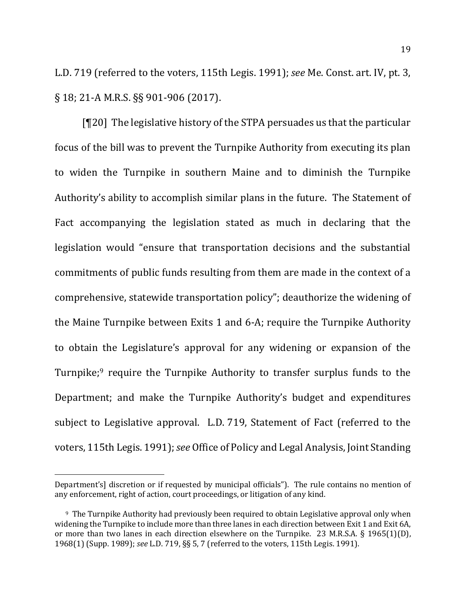L.D. 719 (referred to the voters, 115th Legis. 1991); see Me. Const. art. IV, pt. 3,  $\S$  18; 21-A M.R.S.  $\S$ § 901-906 (2017).

 $[T20]$  The legislative history of the STPA persuades us that the particular focus of the bill was to prevent the Turnpike Authority from executing its plan to widen the Turnpike in southern Maine and to diminish the Turnpike Authority's ability to accomplish similar plans in the future. The Statement of Fact accompanying the legislation stated as much in declaring that the legislation would "ensure that transportation decisions and the substantial commitments of public funds resulting from them are made in the context of a comprehensive, statewide transportation policy"; deauthorize the widening of the Maine Turnpike between Exits 1 and 6-A; require the Turnpike Authority to obtain the Legislature's approval for any widening or expansion of the Turnpike;<sup>9</sup> require the Turnpike Authority to transfer surplus funds to the Department; and make the Turnpike Authority's budget and expenditures subject to Legislative approval. L.D. 719, Statement of Fact (referred to the voters, 115th Legis. 1991); *see* Office of Policy and Legal Analysis, Joint Standing

Department's] discretion or if requested by municipal officials"). The rule contains no mention of any enforcement, right of action, court proceedings, or litigation of any kind.

<sup>&</sup>lt;sup>9</sup> The Turnpike Authority had previously been required to obtain Legislative approval only when widening the Turnpike to include more than three lanes in each direction between Exit 1 and Exit 6A, or more than two lanes in each direction elsewhere on the Turnpike. 23 M.R.S.A.  $\S$  1965(1)(D), 1968(1) (Supp. 1989); *see* L.D. 719, §§ 5, 7 (referred to the voters, 115th Legis. 1991).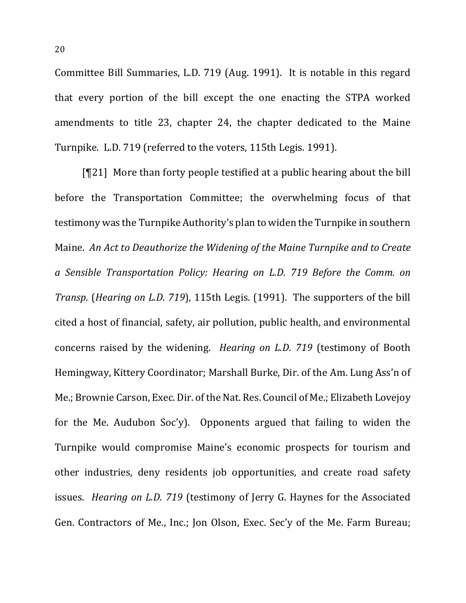Committee Bill Summaries, L.D. 719 (Aug. 1991). It is notable in this regard that every portion of the bill except the one enacting the STPA worked amendments to title 23, chapter 24, the chapter dedicated to the Maine Turnpike. L.D. 719 (referred to the voters, 115th Legis. 1991).

 $[T21]$  More than forty people testified at a public hearing about the bill before the Transportation Committee; the overwhelming focus of that testimony was the Turnpike Authority's plan to widen the Turnpike in southern Maine. An Act to Deauthorize the Widening of the Maine Turnpike and to Create *a Sensible Transportation Policy: Hearing on L.D. 719 Before the Comm. on Transp.* (*Hearing on L.D. 719*), 115th Legis. (1991). The supporters of the bill cited a host of financial, safety, air pollution, public health, and environmental concerns raised by the widening. *Hearing on L.D. 719* (testimony of Booth Hemingway, Kittery Coordinator; Marshall Burke, Dir. of the Am. Lung Ass'n of Me.; Brownie Carson, Exec. Dir. of the Nat. Res. Council of Me.; Elizabeth Lovejoy for the Me. Audubon Soc'y). Opponents argued that failing to widen the Turnpike would compromise Maine's economic prospects for tourism and other industries, deny residents job opportunities, and create road safety issues. *Hearing on L.D. 719* (testimony of Jerry G. Haynes for the Associated Gen. Contractors of Me., Inc.; Jon Olson, Exec. Sec'y of the Me. Farm Bureau;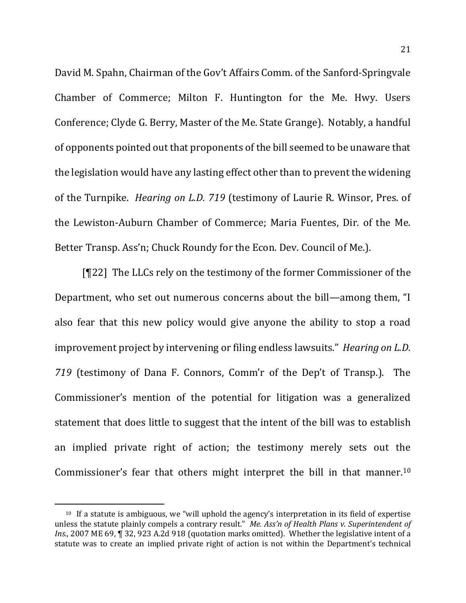David M. Spahn, Chairman of the Gov't Affairs Comm. of the Sanford-Springvale Chamber of Commerce; Milton F. Huntington for the Me. Hwy. Users Conference; Clyde G. Berry, Master of the Me. State Grange). Notably, a handful of opponents pointed out that proponents of the bill seemed to be unaware that the legislation would have any lasting effect other than to prevent the widening of the Turnpike. *Hearing on L.D. 719* (testimony of Laurie R. Winsor, Pres. of the Lewiston-Auburn Chamber of Commerce; Maria Fuentes, Dir. of the Me. Better Transp. Ass'n; Chuck Roundy for the Econ. Dev. Council of Me.).

[¶22] The LLCs rely on the testimony of the former Commissioner of the Department, who set out numerous concerns about the bill—among them, "I also fear that this new policy would give anyone the ability to stop a road improvement project by intervening or filing endless lawsuits." *Hearing on L.D.* 719 (testimony of Dana F. Connors, Comm'r of the Dep't of Transp.). The Commissioner's mention of the potential for litigation was a generalized statement that does little to suggest that the intent of the bill was to establish an implied private right of action; the testimony merely sets out the Commissioner's fear that others might interpret the bill in that manner.<sup>10</sup>

 $10$  If a statute is ambiguous, we "will uphold the agency's interpretation in its field of expertise unless the statute plainly compels a contrary result." Me. Ass'n of Health Plans v. Superintendent of *Ins.*, 2007 ME 69, ¶ 32, 923 A.2d 918 (quotation marks omitted). Whether the legislative intent of a statute was to create an implied private right of action is not within the Department's technical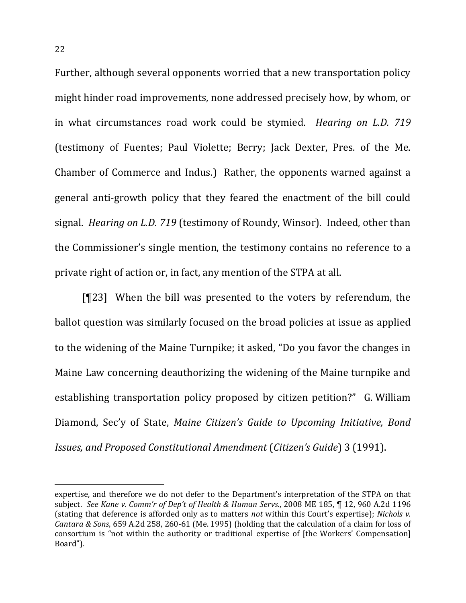Further, although several opponents worried that a new transportation policy might hinder road improvements, none addressed precisely how, by whom, or in what circumstances road work could be stymied. *Hearing on L.D.* 719 (testimony of Fuentes; Paul Violette; Berry; Jack Dexter, Pres. of the Me. Chamber of Commerce and Indus.) Rather, the opponents warned against a general anti-growth policy that they feared the enactment of the bill could signal. *Hearing on L.D.* 719 (testimony of Roundy, Winsor). Indeed, other than the Commissioner's single mention, the testimony contains no reference to a private right of action or, in fact, any mention of the STPA at all.

 $[T23]$  When the bill was presented to the voters by referendum, the ballot question was similarly focused on the broad policies at issue as applied to the widening of the Maine Turnpike; it asked, "Do you favor the changes in Maine Law concerning deauthorizing the widening of the Maine turnpike and establishing transportation policy proposed by citizen petition?" G. William Diamond, Sec'y of State, *Maine Citizen's Guide to Upcoming Initiative*, *Bond Issues, and Proposed Constitutional Amendment* (*Citizen's Guide*) 3 (1991).

expertise, and therefore we do not defer to the Department's interpretation of the STPA on that subiect. See Kane v. Comm'r of Dep't of Health & Human Servs., 2008 ME 185, ¶ 12, 960 A.2d 1196 (stating that deference is afforded only as to matters *not* within this Court's expertise); *Nichols v. Cantara & Sons*, 659 A.2d 258, 260-61 (Me. 1995) (holding that the calculation of a claim for loss of consortium is "not within the authority or traditional expertise of [the Workers' Compensation] Board").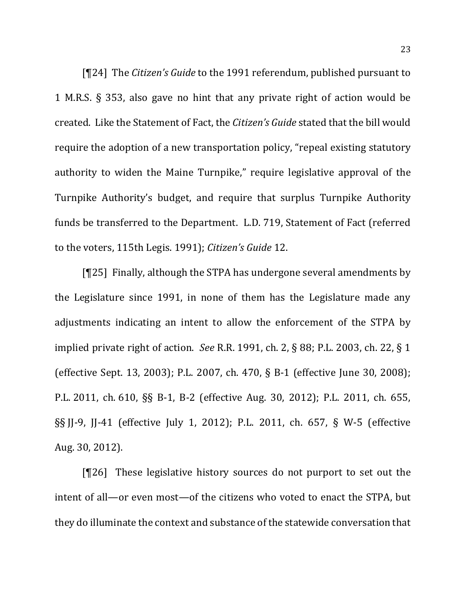[¶24] The *Citizen's Guide* to the 1991 referendum, published pursuant to 1 M.R.S.  $\S$  353, also gave no hint that any private right of action would be created. Like the Statement of Fact, the *Citizen's Guide* stated that the bill would require the adoption of a new transportation policy, "repeal existing statutory authority to widen the Maine Turnpike," require legislative approval of the Turnpike Authority's budget, and require that surplus Turnpike Authority funds be transferred to the Department. L.D. 719, Statement of Fact (referred to the voters, 115th Legis. 1991); *Citizen's Guide* 12.

 $[T25]$  Finally, although the STPA has undergone several amendments by the Legislature since 1991, in none of them has the Legislature made any adjustments indicating an intent to allow the enforcement of the STPA by implied private right of action. *See* R.R. 1991, ch. 2, § 88; P.L. 2003, ch. 22, § 1 (effective Sept. 13, 2003); P.L. 2007, ch. 470, § B-1 (effective June 30, 2008); P.L. 2011, ch. 610, §§ B-1, B-2 (effective Aug. 30, 2012); P.L. 2011, ch. 655, §§ JJ-9, JJ-41 (effective July 1, 2012); P.L. 2011, ch. 657, § W-5 (effective Aug. 30, 2012). 

 $[T26]$  These legislative history sources do not purport to set out the intent of all—or even most—of the citizens who voted to enact the STPA, but they do illuminate the context and substance of the statewide conversation that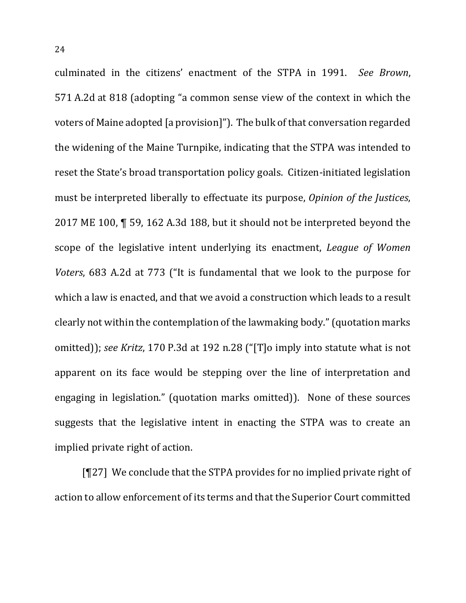culminated in the citizens' enactment of the STPA in 1991. See Brown, 571 A.2d at 818 (adopting "a common sense view of the context in which the voters of Maine adopted [a provision]"). The bulk of that conversation regarded the widening of the Maine Turnpike, indicating that the STPA was intended to reset the State's broad transportation policy goals. Citizen-initiated legislation must be interpreted liberally to effectuate its purpose, *Opinion of the Justices*, 2017 ME 100,  $\P$  59, 162 A.3d 188, but it should not be interpreted beyond the scope of the legislative intent underlying its enactment, *League of Women Voters*, 683 A.2d at 773 ("It is fundamental that we look to the purpose for which a law is enacted, and that we avoid a construction which leads to a result clearly not within the contemplation of the lawmaking body." (quotation marks omitted)); *see Kritz*, 170 P.3d at 192 n.28 ("[T]o imply into statute what is not apparent on its face would be stepping over the line of interpretation and engaging in legislation." (quotation marks omitted)). None of these sources suggests that the legislative intent in enacting the STPA was to create an implied private right of action.

 $[T27]$  We conclude that the STPA provides for no implied private right of action to allow enforcement of its terms and that the Superior Court committed